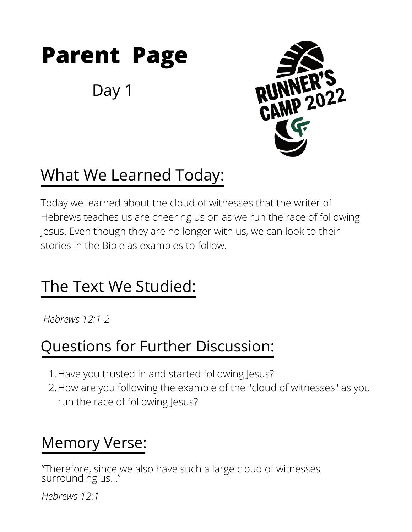

Day 1



## What We Learned Today:

Today we learned about the cloud of witnesses that the writer of Hebrews teaches us are cheering us on as we run the race of following Jesus. Even though they are no longer with us, we can look to their stories in the Bible as examples to follow.

### The Text We Studied:

*Hebrews 12:1-2*

#### Questions for Further Discussion:

- 1. Have you trusted in and started following Jesus?
- 2.How are you following the example of the "cloud of witnesses" as you run the race of following Jesus?

#### Memory Verse:

"Therefore, since we also have such a large cloud of witnesses surrounding us..."

*Hebrews 12:1*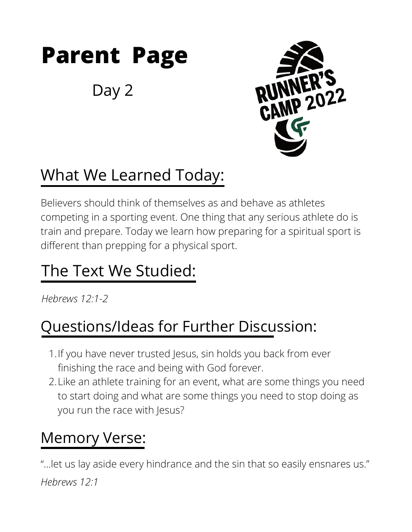# **Parent Page**

Day 2



# What We Learned Today:

Believers should think of themselves as and behave as athletes competing in a sporting event. One thing that any serious athlete do is train and prepare. Today we learn how preparing for a spiritual sport is different than prepping for a physical sport.

### The Text We Studied:

*Hebrews 12:1-2*

### Questions/Ideas for Further Discussion:

- 1. If you have never trusted Jesus, sin holds you back from ever finishing the race and being with God forever.
- Like an athlete training for an event, what are some things you need 2. to start doing and what are some things you need to stop doing as you run the race with Jesus?

### Memory Verse:

"...let us lay aside every hindrance and the sin that so easily ensnares us." *Hebrews 12:1*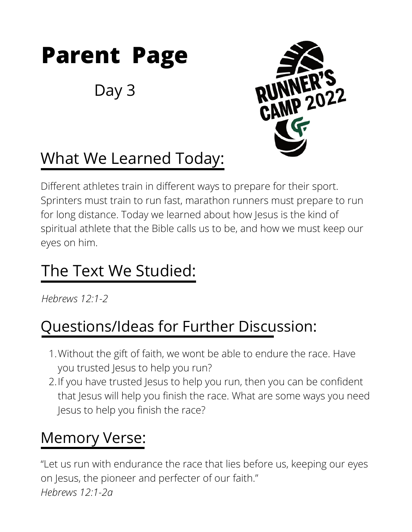

Day 3



# What We Learned Today:

Different athletes train in different ways to prepare for their sport. Sprinters must train to run fast, marathon runners must prepare to run for long distance. Today we learned about how Jesus is the kind of spiritual athlete that the Bible calls us to be, and how we must keep our eyes on him.

### The Text We Studied:

*Hebrews 12:1-2*

### Questions/Ideas for Further Discussion:

- Without the gift of faith, we wont be able to endure the race. Have 1. you trusted Jesus to help you run?
- If you have trusted Jesus to help you run, then you can be confident 2. that Jesus will help you finish the race. What are some ways you need Jesus to help you finish the race?

### Memory Verse:

"Let us run with endurance the race that lies before us, keeping our eyes on Jesus, the pioneer and perfecter of our faith." *Hebrews 12:1-2a*